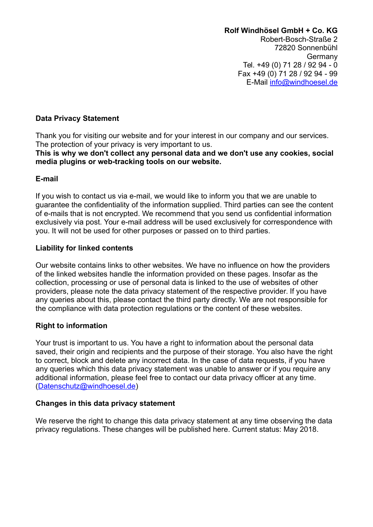### **Data Privacy Statement**

Thank you for visiting our website and for your interest in our company and our services. The protection of your privacy is very important to us.

**This is why we don't collect any personal data and we don't use any cookies, social media plugins or web-tracking tools on our website.**

## **E-mail**

If you wish to contact us via e-mail, we would like to inform you that we are unable to guarantee the confidentiality of the information supplied. Third parties can see the content of e-mails that is not encrypted. We recommend that you send us confidential information exclusively via post. Your e-mail address will be used exclusively for correspondence with you. It will not be used for other purposes or passed on to third parties.

## **Liability for linked contents**

Our website contains links to other websites. We have no influence on how the providers of the linked websites handle the information provided on these pages. Insofar as the collection, processing or use of personal data is linked to the use of websites of other providers, please note the data privacy statement of the respective provider. If you have any queries about this, please contact the third party directly. We are not responsible for the compliance with data protection regulations or the content of these websites.

# **Right to information**

Your trust is important to us. You have a right to information about the personal data saved, their origin and recipients and the purpose of their storage. You also have the right to correct, block and delete any incorrect data. In the case of data requests, if you have any queries which this data privacy statement was unable to answer or if you require any additional information, please feel free to contact our data privacy officer at any time. [\(Datenschutz@windhoesel.de\)](mailto:Datenschutz@windhoesel.de)

# **Changes in this data privacy statement**

We reserve the right to change this data privacy statement at any time observing the data privacy regulations. These changes will be published here. Current status: May 2018.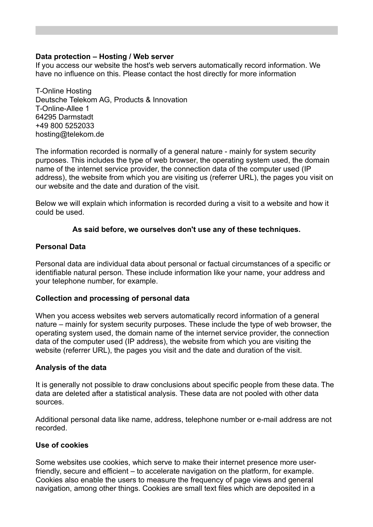## **Data protection – Hosting / Web server**

If you access our website the host's web servers automatically record information. We have no influence on this. Please contact the host directly for more information

T-Online Hosting Deutsche Telekom AG, Products & Innovation T-Online-Allee 1 64295 Darmstadt +49 800 5252033 hosting@telekom.de

The information recorded is normally of a general nature - mainly for system security purposes. This includes the type of web browser, the operating system used, the domain name of the internet service provider, the connection data of the computer used (IP address), the website from which you are visiting us (referrer URL), the pages you visit on our website and the date and duration of the visit.

Below we will explain which information is recorded during a visit to a website and how it could be used.

## **As said before, we ourselves don't use any of these techniques.**

### **Personal Data**

Personal data are individual data about personal or factual circumstances of a specific or identifiable natural person. These include information like your name, your address and your telephone number, for example.

### **Collection and processing of personal data**

When you access websites web servers automatically record information of a general nature – mainly for system security purposes. These include the type of web browser, the operating system used, the domain name of the internet service provider, the connection data of the computer used (IP address), the website from which you are visiting the website (referrer URL), the pages you visit and the date and duration of the visit.

### **Analysis of the data**

It is generally not possible to draw conclusions about specific people from these data. The data are deleted after a statistical analysis. These data are not pooled with other data sources.

Additional personal data like name, address, telephone number or e-mail address are not recorded.

### **Use of cookies**

Some websites use cookies, which serve to make their internet presence more userfriendly, secure and efficient – to accelerate navigation on the platform, for example. Cookies also enable the users to measure the frequency of page views and general navigation, among other things. Cookies are small text files which are deposited in a